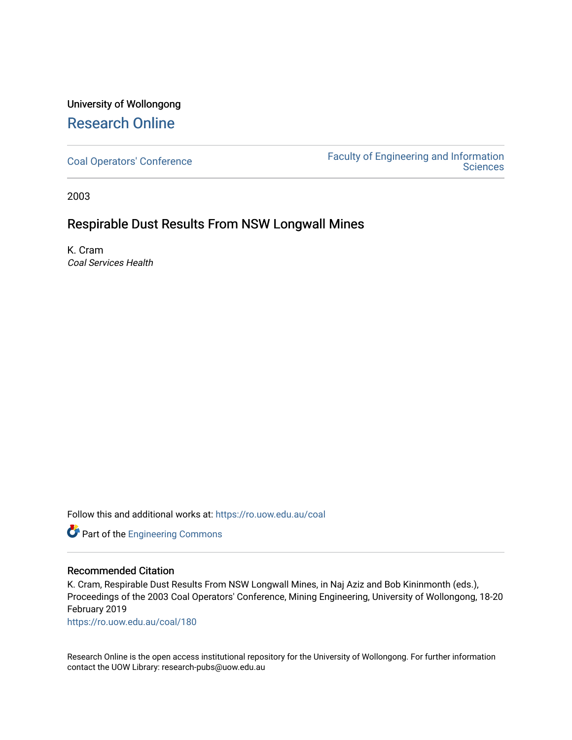# University of Wollongong [Research Online](https://ro.uow.edu.au/)

[Coal Operators' Conference](https://ro.uow.edu.au/coal) [Faculty of Engineering and Information](https://ro.uow.edu.au/eis)  **Sciences** 

2003

# Respirable Dust Results From NSW Longwall Mines

K. Cram Coal Services Health

Follow this and additional works at: [https://ro.uow.edu.au/coal](https://ro.uow.edu.au/coal?utm_source=ro.uow.edu.au%2Fcoal%2F180&utm_medium=PDF&utm_campaign=PDFCoverPages) 

Part of the [Engineering Commons](http://network.bepress.com/hgg/discipline/217?utm_source=ro.uow.edu.au%2Fcoal%2F180&utm_medium=PDF&utm_campaign=PDFCoverPages)

# Recommended Citation

K. Cram, Respirable Dust Results From NSW Longwall Mines, in Naj Aziz and Bob Kininmonth (eds.), Proceedings of the 2003 Coal Operators' Conference, Mining Engineering, University of Wollongong, 18-20 February 2019

[https://ro.uow.edu.au/coal/180](https://ro.uow.edu.au/coal/180?utm_source=ro.uow.edu.au%2Fcoal%2F180&utm_medium=PDF&utm_campaign=PDFCoverPages) 

Research Online is the open access institutional repository for the University of Wollongong. For further information contact the UOW Library: research-pubs@uow.edu.au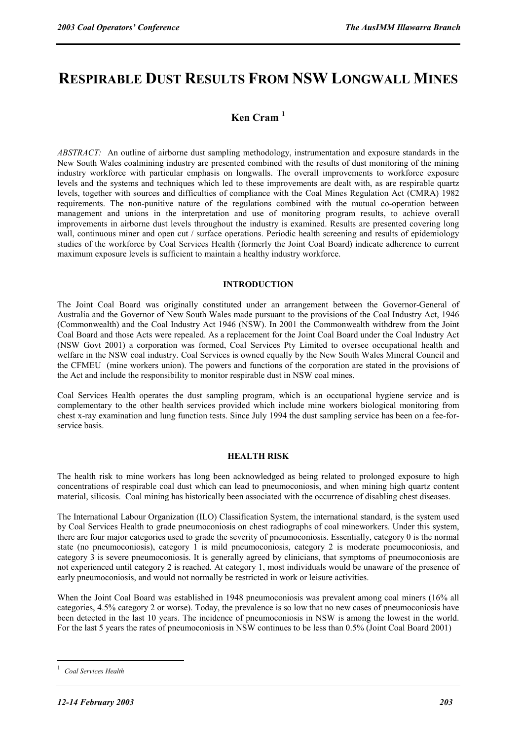# **RESPIRABLE DUST RESULTS FROM NSW LONGWALL MINES**

# **Ken Cram <sup>1</sup>**

*ABSTRACT:* An outline of airborne dust sampling methodology, instrumentation and exposure standards in the New South Wales coalmining industry are presented combined with the results of dust monitoring of the mining industry workforce with particular emphasis on longwalls. The overall improvements to workforce exposure levels and the systems and techniques which led to these improvements are dealt with, as are respirable quartz levels, together with sources and difficulties of compliance with the Coal Mines Regulation Act (CMRA) 1982 requirements. The non-punitive nature of the regulations combined with the mutual co-operation between management and unions in the interpretation and use of monitoring program results, to achieve overall improvements in airborne dust levels throughout the industry is examined. Results are presented covering long wall, continuous miner and open cut / surface operations. Periodic health screening and results of epidemiology studies of the workforce by Coal Services Health (formerly the Joint Coal Board) indicate adherence to current maximum exposure levels is sufficient to maintain a healthy industry workforce.

# **INTRODUCTION**

The Joint Coal Board was originally constituted under an arrangement between the Governor-General of Australia and the Governor of New South Wales made pursuant to the provisions of the Coal Industry Act, 1946 (Commonwealth) and the Coal Industry Act 1946 (NSW). In 2001 the Commonwealth withdrew from the Joint Coal Board and those Acts were repealed. As a replacement for the Joint Coal Board under the Coal Industry Act (NSW Govt 2001) a corporation was formed, Coal Services Pty Limited to oversee occupational health and welfare in the NSW coal industry. Coal Services is owned equally by the New South Wales Mineral Council and the CFMEU (mine workers union). The powers and functions of the corporation are stated in the provisions of the Act and include the responsibility to monitor respirable dust in NSW coal mines.

Coal Services Health operates the dust sampling program, which is an occupational hygiene service and is complementary to the other health services provided which include mine workers biological monitoring from chest x-ray examination and lung function tests. Since July 1994 the dust sampling service has been on a fee-forservice basis.

#### **HEALTH RISK**

The health risk to mine workers has long been acknowledged as being related to prolonged exposure to high concentrations of respirable coal dust which can lead to pneumoconiosis, and when mining high quartz content material, silicosis. Coal mining has historically been associated with the occurrence of disabling chest diseases.

The International Labour Organization (ILO) Classification System, the international standard, is the system used by Coal Services Health to grade pneumoconiosis on chest radiographs of coal mineworkers. Under this system, there are four major categories used to grade the severity of pneumoconiosis. Essentially, category 0 is the normal state (no pneumoconiosis), category 1 is mild pneumoconiosis, category 2 is moderate pneumoconiosis, and category 3 is severe pneumoconiosis. It is generally agreed by clinicians, that symptoms of pneumoconiosis are not experienced until category 2 is reached. At category 1, most individuals would be unaware of the presence of early pneumoconiosis, and would not normally be restricted in work or leisure activities.

When the Joint Coal Board was established in 1948 pneumoconiosis was prevalent among coal miners (16% all categories, 4.5% category 2 or worse). Today, the prevalence is so low that no new cases of pneumoconiosis have been detected in the last 10 years. The incidence of pneumoconiosis in NSW is among the lowest in the world. For the last 5 years the rates of pneumoconiosis in NSW continues to be less than 0.5% (Joint Coal Board 2001)

 $\overline{a}$ 

<sup>1</sup> *Coal Services Health*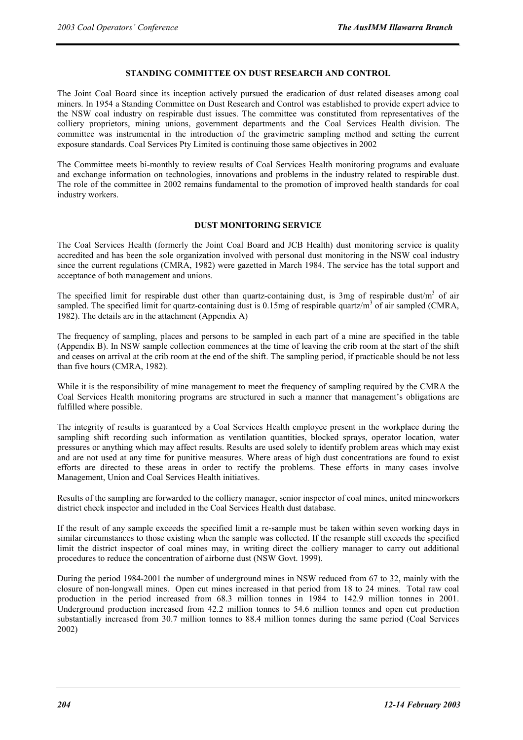# **STANDING COMMITTEE ON DUST RESEARCH AND CONTROL**

The Joint Coal Board since its inception actively pursued the eradication of dust related diseases among coal miners. In 1954 a Standing Committee on Dust Research and Control was established to provide expert advice to the NSW coal industry on respirable dust issues. The committee was constituted from representatives of the colliery proprietors, mining unions, government departments and the Coal Services Health division. The committee was instrumental in the introduction of the gravimetric sampling method and setting the current exposure standards. Coal Services Pty Limited is continuing those same objectives in 2002

The Committee meets bi-monthly to review results of Coal Services Health monitoring programs and evaluate and exchange information on technologies, innovations and problems in the industry related to respirable dust. The role of the committee in 2002 remains fundamental to the promotion of improved health standards for coal industry workers.

# **DUST MONITORING SERVICE**

The Coal Services Health (formerly the Joint Coal Board and JCB Health) dust monitoring service is quality accredited and has been the sole organization involved with personal dust monitoring in the NSW coal industry since the current regulations (CMRA, 1982) were gazetted in March 1984. The service has the total support and acceptance of both management and unions.

The specified limit for respirable dust other than quartz-containing dust, is 3mg of respirable dust/ $m<sup>3</sup>$  of air sampled. The specified limit for quartz-containing dust is  $0.15$ mg of respirable quartz/m<sup>3</sup> of air sampled (CMRA, 1982). The details are in the attachment (Appendix A)

The frequency of sampling, places and persons to be sampled in each part of a mine are specified in the table (Appendix B). In NSW sample collection commences at the time of leaving the crib room at the start of the shift and ceases on arrival at the crib room at the end of the shift. The sampling period, if practicable should be not less than five hours (CMRA, 1982).

While it is the responsibility of mine management to meet the frequency of sampling required by the CMRA the Coal Services Health monitoring programs are structured in such a manner that management's obligations are fulfilled where possible.

The integrity of results is guaranteed by a Coal Services Health employee present in the workplace during the sampling shift recording such information as ventilation quantities, blocked sprays, operator location, water pressures or anything which may affect results. Results are used solely to identify problem areas which may exist and are not used at any time for punitive measures. Where areas of high dust concentrations are found to exist efforts are directed to these areas in order to rectify the problems. These efforts in many cases involve Management, Union and Coal Services Health initiatives.

Results of the sampling are forwarded to the colliery manager, senior inspector of coal mines, united mineworkers district check inspector and included in the Coal Services Health dust database.

If the result of any sample exceeds the specified limit a re-sample must be taken within seven working days in similar circumstances to those existing when the sample was collected. If the resample still exceeds the specified limit the district inspector of coal mines may, in writing direct the colliery manager to carry out additional procedures to reduce the concentration of airborne dust (NSW Govt. 1999).

During the period 1984-2001 the number of underground mines in NSW reduced from 67 to 32, mainly with the closure of non-longwall mines. Open cut mines increased in that period from 18 to 24 mines. Total raw coal production in the period increased from 68.3 million tonnes in 1984 to 142.9 million tonnes in 2001. Underground production increased from 42.2 million tonnes to 54.6 million tonnes and open cut production substantially increased from 30.7 million tonnes to 88.4 million tonnes during the same period (Coal Services 2002)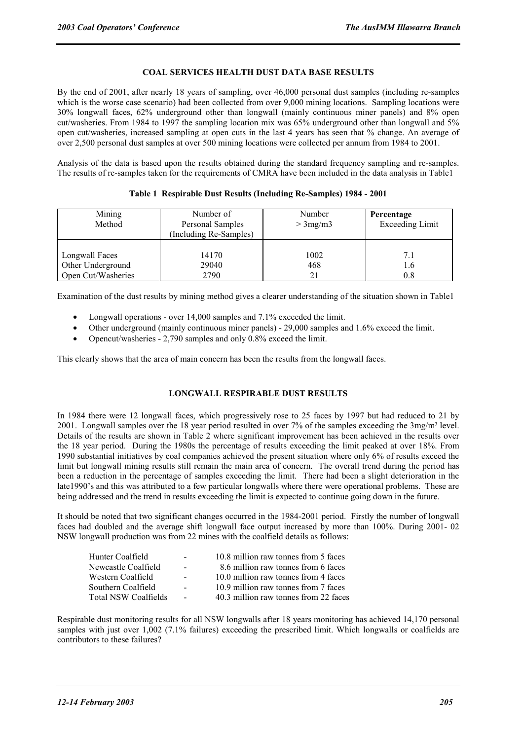# **COAL SERVICES HEALTH DUST DATA BASE RESULTS**

By the end of 2001, after nearly 18 years of sampling, over 46,000 personal dust samples (including re-samples which is the worse case scenario) had been collected from over 9,000 mining locations. Sampling locations were 30% longwall faces, 62% underground other than longwall (mainly continuous miner panels) and 8% open cut/washeries. From 1984 to 1997 the sampling location mix was 65% underground other than longwall and 5% open cut/washeries, increased sampling at open cuts in the last 4 years has seen that % change. An average of over 2,500 personal dust samples at over 500 mining locations were collected per annum from 1984 to 2001.

Analysis of the data is based upon the results obtained during the standard frequency sampling and re-samples. The results of re-samples taken for the requirements of CMRA have been included in the data analysis in Table1

| Mining<br>Method   | Number of<br>Personal Samples<br>(Including Re-Samples) | Number<br>$>3$ mg/m $3$ | Percentage<br><b>Exceeding Limit</b> |  |
|--------------------|---------------------------------------------------------|-------------------------|--------------------------------------|--|
| Longwall Faces     | 14170                                                   | 1002                    | 7.1                                  |  |
| Other Underground  | 29040                                                   | 468                     | 1.6                                  |  |
| Open Cut/Washeries | 2790                                                    | 21                      | 0.8                                  |  |

# **Table 1 Respirable Dust Results (Including Re-Samples) 1984 - 2001**

Examination of the dust results by mining method gives a clearer understanding of the situation shown in Table1

- Longwall operations over 14,000 samples and 7.1% exceeded the limit.
- Other underground (mainly continuous miner panels) 29,000 samples and 1.6% exceed the limit.
- Opencut/washeries 2,790 samples and only 0.8% exceed the limit.

This clearly shows that the area of main concern has been the results from the longwall faces.

#### **LONGWALL RESPIRABLE DUST RESULTS**

In 1984 there were 12 longwall faces, which progressively rose to 25 faces by 1997 but had reduced to 21 by 2001. Longwall samples over the 18 year period resulted in over 7% of the samples exceeding the 3mg/m<sup>3</sup> level. Details of the results are shown in Table 2 where significant improvement has been achieved in the results over the 18 year period. During the 1980s the percentage of results exceeding the limit peaked at over 18%. From 1990 substantial initiatives by coal companies achieved the present situation where only 6% of results exceed the limit but longwall mining results still remain the main area of concern. The overall trend during the period has been a reduction in the percentage of samples exceeding the limit. There had been a slight deterioration in the late1990's and this was attributed to a few particular longwalls where there were operational problems. These are being addressed and the trend in results exceeding the limit is expected to continue going down in the future.

It should be noted that two significant changes occurred in the 1984-2001 period. Firstly the number of longwall faces had doubled and the average shift longwall face output increased by more than 100%. During 2001- 02 NSW longwall production was from 22 mines with the coalfield details as follows:

| Hunter Coalfield            | $\overline{\phantom{a}}$ | 10.8 million raw tonnes from 5 faces  |
|-----------------------------|--------------------------|---------------------------------------|
| Newcastle Coalfield         | $\blacksquare$           | 8.6 million raw tonnes from 6 faces   |
| Western Coalfield           | $\sim$                   | 10.0 million raw tonnes from 4 faces  |
| Southern Coalfield          | $\sim$                   | 10.9 million raw tonnes from 7 faces  |
| <b>Total NSW Coalfields</b> | $\sim$                   | 40.3 million raw tonnes from 22 faces |

Respirable dust monitoring results for all NSW longwalls after 18 years monitoring has achieved 14,170 personal samples with just over 1,002 (7.1% failures) exceeding the prescribed limit. Which longwalls or coalfields are contributors to these failures?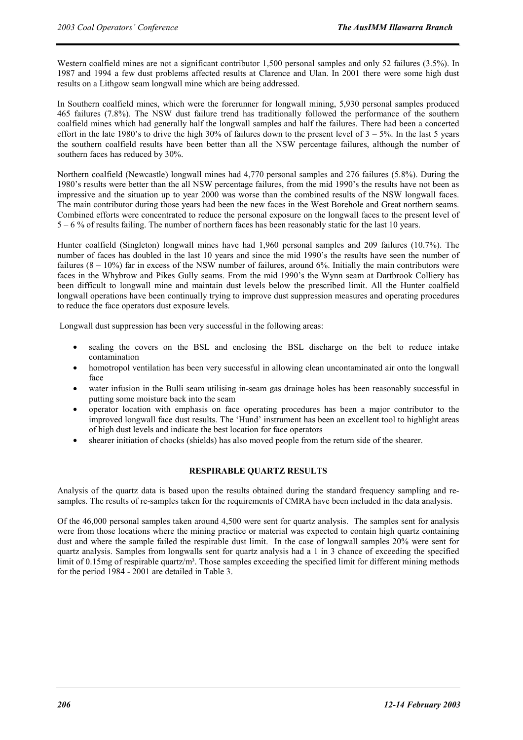Western coalfield mines are not a significant contributor 1,500 personal samples and only 52 failures (3.5%). In 1987 and 1994 a few dust problems affected results at Clarence and Ulan. In 2001 there were some high dust results on a Lithgow seam longwall mine which are being addressed.

In Southern coalfield mines, which were the forerunner for longwall mining, 5,930 personal samples produced 465 failures (7.8%). The NSW dust failure trend has traditionally followed the performance of the southern coalfield mines which had generally half the longwall samples and half the failures. There had been a concerted effort in the late 1980's to drive the high 30% of failures down to the present level of  $3 - 5$ %. In the last 5 years the southern coalfield results have been better than all the NSW percentage failures, although the number of southern faces has reduced by 30%.

Northern coalfield (Newcastle) longwall mines had 4,770 personal samples and 276 failures (5.8%). During the 1980's results were better than the all NSW percentage failures, from the mid 1990's the results have not been as impressive and the situation up to year 2000 was worse than the combined results of the NSW longwall faces. The main contributor during those years had been the new faces in the West Borehole and Great northern seams. Combined efforts were concentrated to reduce the personal exposure on the longwall faces to the present level of 5 – 6 % of results failing. The number of northern faces has been reasonably static for the last 10 years.

Hunter coalfield (Singleton) longwall mines have had 1,960 personal samples and 209 failures (10.7%). The number of faces has doubled in the last 10 years and since the mid 1990's the results have seen the number of failures  $(8 - 10\%)$  far in excess of the NSW number of failures, around 6%. Initially the main contributors were faces in the Whybrow and Pikes Gully seams. From the mid 1990's the Wynn seam at Dartbrook Colliery has been difficult to longwall mine and maintain dust levels below the prescribed limit. All the Hunter coalfield longwall operations have been continually trying to improve dust suppression measures and operating procedures to reduce the face operators dust exposure levels.

Longwall dust suppression has been very successful in the following areas:

- sealing the covers on the BSL and enclosing the BSL discharge on the belt to reduce intake contamination
- homotropol ventilation has been very successful in allowing clean uncontaminated air onto the longwall face
- water infusion in the Bulli seam utilising in-seam gas drainage holes has been reasonably successful in putting some moisture back into the seam
- operator location with emphasis on face operating procedures has been a major contributor to the improved longwall face dust results. The 'Hund' instrument has been an excellent tool to highlight areas of high dust levels and indicate the best location for face operators
- shearer initiation of chocks (shields) has also moved people from the return side of the shearer.

#### **RESPIRABLE QUARTZ RESULTS**

Analysis of the quartz data is based upon the results obtained during the standard frequency sampling and resamples. The results of re-samples taken for the requirements of CMRA have been included in the data analysis.

Of the 46,000 personal samples taken around 4,500 were sent for quartz analysis. The samples sent for analysis were from those locations where the mining practice or material was expected to contain high quartz containing dust and where the sample failed the respirable dust limit. In the case of longwall samples 20% were sent for quartz analysis. Samples from longwalls sent for quartz analysis had a 1 in 3 chance of exceeding the specified limit of  $0.15$ mg of respirable quartz/m<sup>3</sup>. Those samples exceeding the specified limit for different mining methods for the period 1984 - 2001 are detailed in Table 3.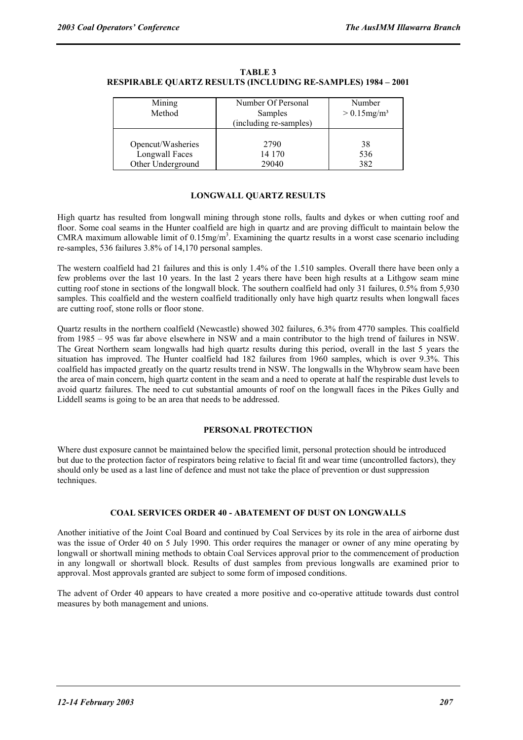| Mining            | Number Of Personal     | Number                     |  |  |
|-------------------|------------------------|----------------------------|--|--|
| Method            | Samples                | $> 0.15$ mg/m <sup>3</sup> |  |  |
|                   | (including re-samples) |                            |  |  |
|                   |                        |                            |  |  |
| Opencut/Washeries | 2790                   | 38                         |  |  |
| Longwall Faces    | 14 170                 | 536                        |  |  |
| Other Underground | 29040                  | 382                        |  |  |

**TABLE 3 RESPIRABLE QUARTZ RESULTS (INCLUDING RE-SAMPLES) 1984 – 2001** 

# **LONGWALL QUARTZ RESULTS**

High quartz has resulted from longwall mining through stone rolls, faults and dykes or when cutting roof and floor. Some coal seams in the Hunter coalfield are high in quartz and are proving difficult to maintain below the CMRA maximum allowable limit of  $0.15$ mg/m<sup>3</sup>. Examining the quartz results in a worst case scenario including re-samples, 536 failures 3.8% of 14,170 personal samples.

The western coalfield had 21 failures and this is only 1.4% of the 1.510 samples. Overall there have been only a few problems over the last 10 years. In the last 2 years there have been high results at a Lithgow seam mine cutting roof stone in sections of the longwall block. The southern coalfield had only 31 failures, 0.5% from 5,930 samples. This coalfield and the western coalfield traditionally only have high quartz results when longwall faces are cutting roof, stone rolls or floor stone.

Quartz results in the northern coalfield (Newcastle) showed 302 failures, 6.3% from 4770 samples. This coalfield from 1985 – 95 was far above elsewhere in NSW and a main contributor to the high trend of failures in NSW. The Great Northern seam longwalls had high quartz results during this period, overall in the last 5 years the situation has improved. The Hunter coalfield had 182 failures from 1960 samples, which is over 9.3%. This coalfield has impacted greatly on the quartz results trend in NSW. The longwalls in the Whybrow seam have been the area of main concern, high quartz content in the seam and a need to operate at half the respirable dust levels to avoid quartz failures. The need to cut substantial amounts of roof on the longwall faces in the Pikes Gully and Liddell seams is going to be an area that needs to be addressed.

# **PERSONAL PROTECTION**

Where dust exposure cannot be maintained below the specified limit, personal protection should be introduced but due to the protection factor of respirators being relative to facial fit and wear time (uncontrolled factors), they should only be used as a last line of defence and must not take the place of prevention or dust suppression techniques.

# **COAL SERVICES ORDER 40 - ABATEMENT OF DUST ON LONGWALLS**

Another initiative of the Joint Coal Board and continued by Coal Services by its role in the area of airborne dust was the issue of Order 40 on 5 July 1990. This order requires the manager or owner of any mine operating by longwall or shortwall mining methods to obtain Coal Services approval prior to the commencement of production in any longwall or shortwall block. Results of dust samples from previous longwalls are examined prior to approval. Most approvals granted are subject to some form of imposed conditions.

The advent of Order 40 appears to have created a more positive and co-operative attitude towards dust control measures by both management and unions.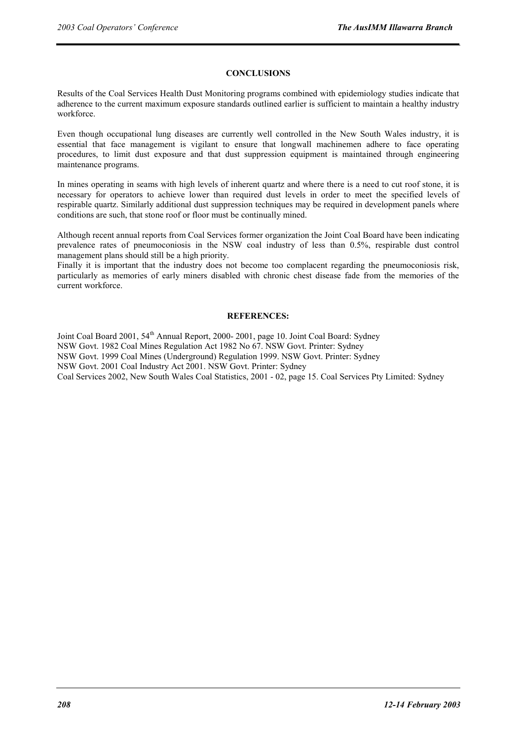## **CONCLUSIONS**

Results of the Coal Services Health Dust Monitoring programs combined with epidemiology studies indicate that adherence to the current maximum exposure standards outlined earlier is sufficient to maintain a healthy industry workforce.

Even though occupational lung diseases are currently well controlled in the New South Wales industry, it is essential that face management is vigilant to ensure that longwall machinemen adhere to face operating procedures, to limit dust exposure and that dust suppression equipment is maintained through engineering maintenance programs.

In mines operating in seams with high levels of inherent quartz and where there is a need to cut roof stone, it is necessary for operators to achieve lower than required dust levels in order to meet the specified levels of respirable quartz. Similarly additional dust suppression techniques may be required in development panels where conditions are such, that stone roof or floor must be continually mined.

Although recent annual reports from Coal Services former organization the Joint Coal Board have been indicating prevalence rates of pneumoconiosis in the NSW coal industry of less than 0.5%, respirable dust control management plans should still be a high priority.

Finally it is important that the industry does not become too complacent regarding the pneumoconiosis risk, particularly as memories of early miners disabled with chronic chest disease fade from the memories of the current workforce.

#### **REFERENCES:**

Joint Coal Board 2001, 54<sup>th</sup> Annual Report, 2000- 2001, page 10. Joint Coal Board: Sydney NSW Govt. 1982 Coal Mines Regulation Act 1982 No 67. NSW Govt. Printer: Sydney NSW Govt. 1999 Coal Mines (Underground) Regulation 1999. NSW Govt. Printer: Sydney NSW Govt. 2001 Coal Industry Act 2001. NSW Govt. Printer: Sydney Coal Services 2002, New South Wales Coal Statistics, 2001 - 02, page 15. Coal Services Pty Limited: Sydney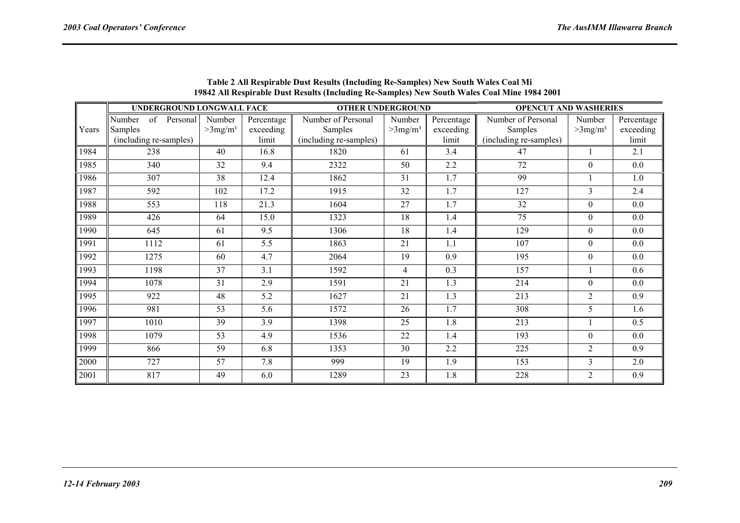|       | UNDERGROUND LONGWALL FACE                         |          | <b>OTHER UNDERGROUND</b>         |                                  |                                                         | <b>OPENCUT AND WASHERIES</b>     |                                  |                                                         |                                  |                                  |
|-------|---------------------------------------------------|----------|----------------------------------|----------------------------------|---------------------------------------------------------|----------------------------------|----------------------------------|---------------------------------------------------------|----------------------------------|----------------------------------|
| Years | of<br>Number<br>Samples<br>(including re-samples) | Personal | Number<br>$>3$ mg/m <sup>3</sup> | Percentage<br>exceeding<br>limit | Number of Personal<br>Samples<br>(including re-samples) | Number<br>$>3$ mg/m <sup>3</sup> | Percentage<br>exceeding<br>limit | Number of Personal<br>Samples<br>(including re-samples) | Number<br>$>3$ mg/m <sup>3</sup> | Percentage<br>exceeding<br>limit |
| 1984  | 238                                               |          | 40                               | 16.8                             | 1820                                                    | 61                               | 3.4                              | 47                                                      |                                  | 2.1                              |
| 1985  | 340                                               |          | 32                               | 9.4                              | 2322                                                    | 50                               | 2.2                              | 72                                                      | $\Omega$                         | 0.0                              |
| 1986  | 307                                               |          | 38                               | 12.4                             | 1862                                                    | 31                               | 1.7                              | 99                                                      |                                  | 1.0                              |
| 1987  | 592                                               |          | 102                              | 17.2                             | 1915                                                    | 32                               | 1.7                              | 127                                                     | 3                                | 2.4                              |
| 1988  | 553                                               |          | 118                              | 21.3                             | 1604                                                    | 27                               | 1.7                              | 32                                                      | $\overline{0}$                   | 0.0                              |
| 1989  | 426                                               |          | 64                               | 15.0                             | 1323                                                    | 18                               | 1.4                              | 75                                                      | $\boldsymbol{0}$                 | 0.0                              |
| 1990  | 645                                               |          | 61                               | 9.5                              | 1306                                                    | 18                               | 1.4                              | 129                                                     | $\mathbf{0}$                     | 0.0                              |
| 1991  | 1112                                              |          | 61                               | 5.5                              | 1863                                                    | 21                               | 1.1                              | 107                                                     | $\overline{0}$                   | 0.0                              |
| 1992  | 1275                                              |          | 60                               | 4.7                              | 2064                                                    | 19                               | 0.9                              | 195                                                     | $\boldsymbol{0}$                 | 0.0                              |
| 1993  | 1198                                              |          | 37                               | 3.1                              | 1592                                                    | $\overline{4}$                   | 0.3                              | 157                                                     | 1                                | 0.6                              |
| 1994  | 1078                                              |          | 31                               | 2.9                              | 1591                                                    | 21                               | 1.3                              | 214                                                     | $\overline{0}$                   | 0.0                              |
| 1995  | 922                                               |          | 48                               | 5.2                              | 1627                                                    | 21                               | 1.3                              | 213                                                     | $\overline{2}$                   | 0.9                              |
| 1996  | 981                                               |          | 53                               | 5.6                              | 1572                                                    | 26                               | 1.7                              | 308                                                     | 5                                | 1.6                              |
| 1997  | 1010                                              |          | 39                               | 3.9                              | 1398                                                    | 25                               | 1.8                              | 213                                                     |                                  | 0.5                              |
| 1998  | 1079                                              |          | 53                               | 4.9                              | 1536                                                    | 22                               | 1.4                              | 193                                                     | $\Omega$                         | 0.0                              |
| 1999  | 866                                               |          | 59                               | 6.8                              | 1353                                                    | 30                               | 2.2                              | 225                                                     | $\overline{2}$                   | 0.9                              |
| 2000  | 727                                               |          | 57                               | 7.8                              | 999                                                     | 19                               | 1.9                              | 153                                                     | 3                                | 2.0                              |
| 2001  | 817                                               |          | 49                               | 6.0                              | 1289                                                    | 23                               | 1.8                              | 228                                                     | $\overline{2}$                   | 0.9                              |

**Table 2 All Respirable Dust Results (Including Re-Samples) New South Wales Coal Mi 19842 All Respirable Dust Results (Including Re-Samples) New South Wales Coal Mine 1984 2001**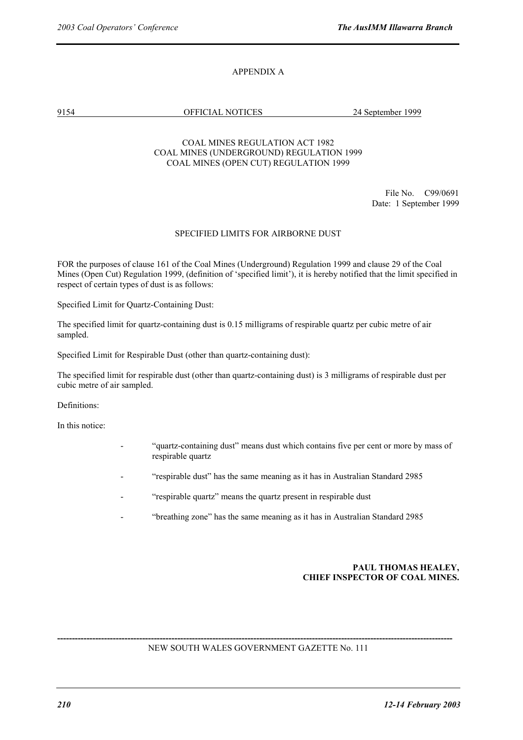# APPENDIX A

9154 OFFICIAL NOTICES 24 September 1999

# COAL MINES REGULATION ACT 1982 COAL MINES (UNDERGROUND) REGULATION 1999 COAL MINES (OPEN CUT) REGULATION 1999

 File No. C99/0691 Date: 1 September 1999

# SPECIFIED LIMITS FOR AIRBORNE DUST

FOR the purposes of clause 161 of the Coal Mines (Underground) Regulation 1999 and clause 29 of the Coal Mines (Open Cut) Regulation 1999, (definition of 'specified limit'), it is hereby notified that the limit specified in respect of certain types of dust is as follows:

Specified Limit for Quartz-Containing Dust:

The specified limit for quartz-containing dust is 0.15 milligrams of respirable quartz per cubic metre of air sampled.

Specified Limit for Respirable Dust (other than quartz-containing dust):

The specified limit for respirable dust (other than quartz-containing dust) is 3 milligrams of respirable dust per cubic metre of air sampled.

Definitions:

In this notice:

- "quartz-containing dust" means dust which contains five per cent or more by mass of respirable quartz
- "respirable dust" has the same meaning as it has in Australian Standard 2985
- "respirable quartz" means the quartz present in respirable dust
- "breathing zone" has the same meaning as it has in Australian Standard 2985

# **PAUL THOMAS HEALEY, CHIEF INSPECTOR OF COAL MINES.**

**---------------------------------------------------------------------------------------------------------------------------------------**  NEW SOUTH WALES GOVERNMENT GAZETTE No. 111